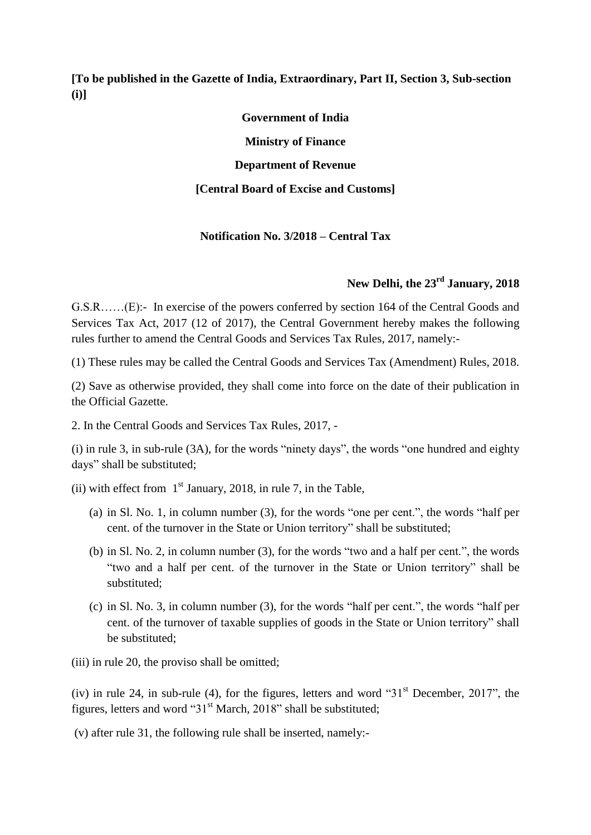**[To be published in the Gazette of India, Extraordinary, Part II, Section 3, Sub-section (i)]**

> **Government of India Ministry of Finance Department of Revenue [Central Board of Excise and Customs]**

### **Notification No. 3/2018 – Central Tax**

## **New Delhi, the 23rd January, 2018**

G.S.R……(E):- In exercise of the powers conferred by section 164 of the Central Goods and Services Tax Act, 2017 (12 of 2017), the Central Government hereby makes the following rules further to amend the Central Goods and Services Tax Rules, 2017, namely:-

(1) These rules may be called the Central Goods and Services Tax (Amendment) Rules, 2018.

(2) Save as otherwise provided, they shall come into force on the date of their publication in the Official Gazette.

2. In the Central Goods and Services Tax Rules, 2017, -

(i) in rule 3, in sub-rule (3A), for the words "ninety days", the words "one hundred and eighty days" shall be substituted;

(ii) with effect from  $1<sup>st</sup>$  January, 2018, in rule 7, in the Table,

- (a) in Sl. No. 1, in column number (3), for the words "one per cent.", the words "half per cent. of the turnover in the State or Union territory" shall be substituted;
- (b) in Sl. No. 2, in column number (3), for the words "two and a half per cent.", the words "two and a half per cent. of the turnover in the State or Union territory" shall be substituted;
- (c) in Sl. No. 3, in column number (3), for the words "half per cent.", the words "half per cent. of the turnover of taxable supplies of goods in the State or Union territory" shall be substituted;

(iii) in rule 20, the proviso shall be omitted;

(iv) in rule 24, in sub-rule (4), for the figures, letters and word " $31<sup>st</sup>$  December, 2017", the figures, letters and word " $31<sup>st</sup> March$ , 2018" shall be substituted;

(v) after rule 31, the following rule shall be inserted, namely:-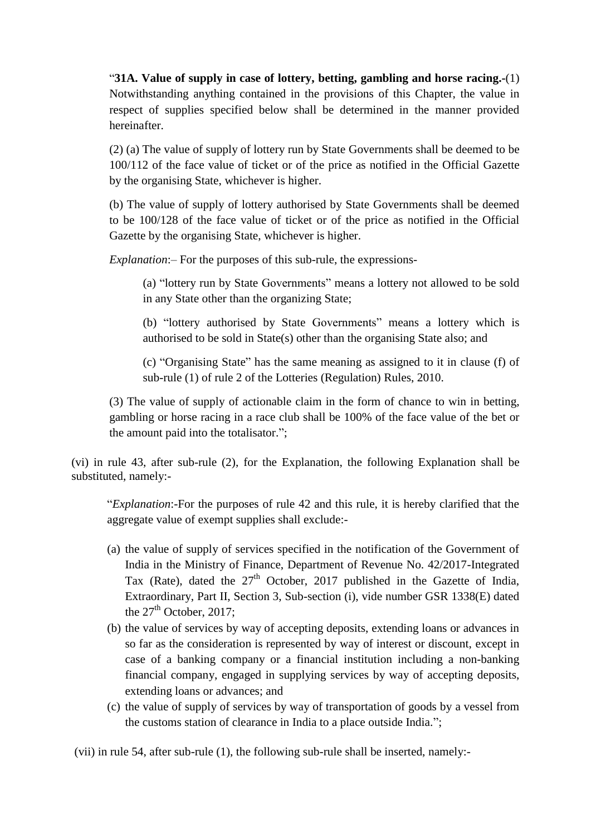"**31A. Value of supply in case of lottery, betting, gambling and horse racing.-**(1) Notwithstanding anything contained in the provisions of this Chapter, the value in respect of supplies specified below shall be determined in the manner provided hereinafter.

(2) (a) The value of supply of lottery run by State Governments shall be deemed to be 100/112 of the face value of ticket or of the price as notified in the Official Gazette by the organising State, whichever is higher.

(b) The value of supply of lottery authorised by State Governments shall be deemed to be 100/128 of the face value of ticket or of the price as notified in the Official Gazette by the organising State, whichever is higher.

*Explanation*:– For the purposes of this sub-rule, the expressions-

(a) "lottery run by State Governments" means a lottery not allowed to be sold in any State other than the organizing State;

(b) "lottery authorised by State Governments" means a lottery which is authorised to be sold in State(s) other than the organising State also; and

(c) "Organising State" has the same meaning as assigned to it in clause (f) of sub-rule (1) of rule 2 of the Lotteries (Regulation) Rules, 2010.

(3) The value of supply of actionable claim in the form of chance to win in betting, gambling or horse racing in a race club shall be 100% of the face value of the bet or the amount paid into the totalisator.";

(vi) in rule 43, after sub-rule (2), for the Explanation, the following Explanation shall be substituted, namely:-

"*Explanation*:-For the purposes of rule 42 and this rule, it is hereby clarified that the aggregate value of exempt supplies shall exclude:-

- (a) the value of supply of services specified in the notification of the Government of India in the Ministry of Finance, Department of Revenue No. 42/2017-Integrated Tax (Rate), dated the  $27<sup>th</sup>$  October, 2017 published in the Gazette of India, Extraordinary, Part II, Section 3, Sub-section (i), vide number GSR 1338(E) dated the  $27<sup>th</sup>$  October, 2017;
- (b) the value of services by way of accepting deposits, extending loans or advances in so far as the consideration is represented by way of interest or discount, except in case of a banking company or a financial institution including a non-banking financial company, engaged in supplying services by way of accepting deposits, extending loans or advances; and
- (c) the value of supply of services by way of transportation of goods by a vessel from the customs station of clearance in India to a place outside India.";

(vii) in rule 54, after sub-rule (1), the following sub-rule shall be inserted, namely:-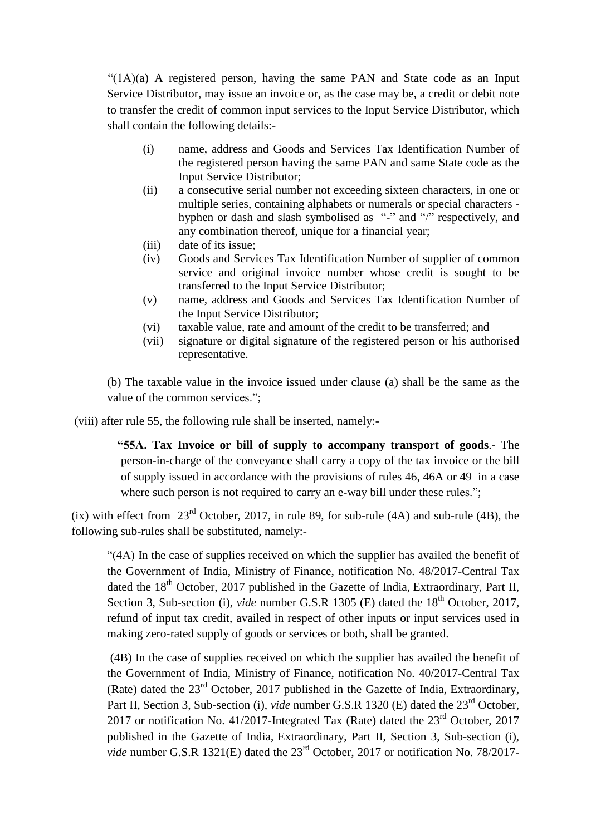$"(1A)(a)$  A registered person, having the same PAN and State code as an Input Service Distributor, may issue an invoice or, as the case may be, a credit or debit note to transfer the credit of common input services to the Input Service Distributor, which shall contain the following details:-

- (i) name, address and Goods and Services Tax Identification Number of the registered person having the same PAN and same State code as the Input Service Distributor;
- (ii) a consecutive serial number not exceeding sixteen characters, in one or multiple series, containing alphabets or numerals or special characters hyphen or dash and slash symbolised as "-" and "/" respectively, and any combination thereof, unique for a financial year;
- (iii) date of its issue;
- (iv) Goods and Services Tax Identification Number of supplier of common service and original invoice number whose credit is sought to be transferred to the Input Service Distributor;
- (v) name, address and Goods and Services Tax Identification Number of the Input Service Distributor;
- (vi) taxable value, rate and amount of the credit to be transferred; and
- (vii) signature or digital signature of the registered person or his authorised representative.

(b) The taxable value in the invoice issued under clause (a) shall be the same as the value of the common services.";

(viii) after rule 55, the following rule shall be inserted, namely:-

 **"55A. Tax Invoice or bill of supply to accompany transport of goods**.- The person-in-charge of the conveyance shall carry a copy of the tax invoice or the bill of supply issued in accordance with the provisions of rules 46, 46A or 49 in a case where such person is not required to carry an e-way bill under these rules.";

(ix) with effect from  $23^{\text{rd}}$  October, 2017, in rule 89, for sub-rule (4A) and sub-rule (4B), the following sub-rules shall be substituted, namely:-

"(4A) In the case of supplies received on which the supplier has availed the benefit of the Government of India, Ministry of Finance, notification No. 48/2017-Central Tax dated the  $18<sup>th</sup>$  October, 2017 published in the Gazette of India, Extraordinary, Part II, Section 3, Sub-section (i), *vide* number G.S.R 1305 (E) dated the 18<sup>th</sup> October, 2017, refund of input tax credit, availed in respect of other inputs or input services used in making zero-rated supply of goods or services or both, shall be granted.

(4B) In the case of supplies received on which the supplier has availed the benefit of the Government of India, Ministry of Finance, notification No. 40/2017-Central Tax (Rate) dated the 23rd October, 2017 published in the Gazette of India, Extraordinary, Part II, Section 3, Sub-section (i), *vide* number G.S.R 1320 (E) dated the 23<sup>rd</sup> October. 2017 or notification No. 41/2017-Integrated Tax (Rate) dated the  $23<sup>rd</sup>$  October, 2017 published in the Gazette of India, Extraordinary, Part II, Section 3, Sub-section (i), *vide* number G.S.R 1321(E) dated the 23<sup>rd</sup> October, 2017 or notification No. 78/2017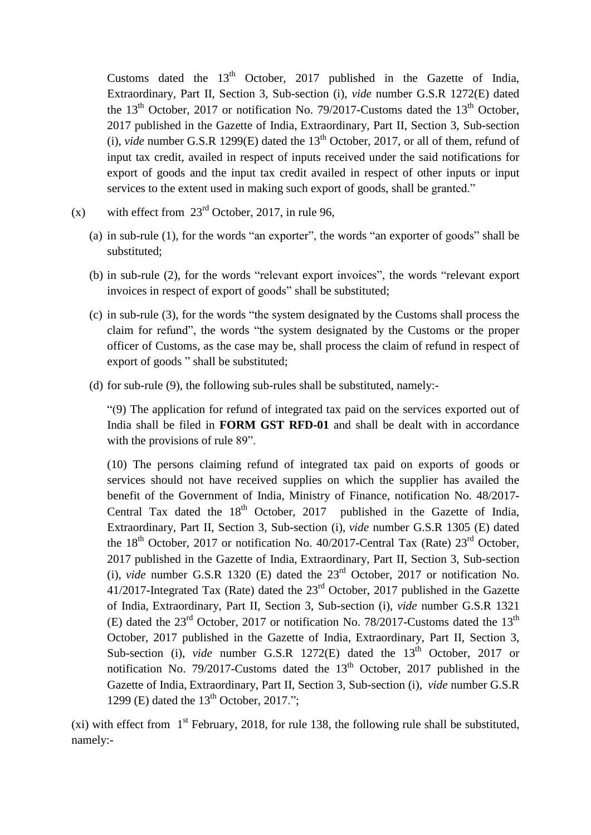Customs dated the  $13<sup>th</sup>$  October, 2017 published in the Gazette of India, Extraordinary, Part II, Section 3, Sub-section (i), *vide* number G.S.R 1272(E) dated the  $13<sup>th</sup>$  October, 2017 or notification No. 79/2017-Customs dated the  $13<sup>th</sup>$  October, 2017 published in the Gazette of India, Extraordinary, Part II, Section 3, Sub-section (i), *vide* number G.S.R 1299(E) dated the  $13<sup>th</sup>$  October, 2017, or all of them, refund of input tax credit, availed in respect of inputs received under the said notifications for export of goods and the input tax credit availed in respect of other inputs or input services to the extent used in making such export of goods, shall be granted."

- (x) with effect from  $23<sup>rd</sup>$  October, 2017, in rule 96,
	- (a) in sub-rule (1), for the words "an exporter", the words "an exporter of goods" shall be substituted;
	- (b) in sub-rule (2), for the words "relevant export invoices", the words "relevant export invoices in respect of export of goods" shall be substituted;
	- (c) in sub-rule (3), for the words "the system designated by the Customs shall process the claim for refund", the words "the system designated by the Customs or the proper officer of Customs, as the case may be, shall process the claim of refund in respect of export of goods " shall be substituted;
	- (d) for sub-rule (9), the following sub-rules shall be substituted, namely:-

"(9) The application for refund of integrated tax paid on the services exported out of India shall be filed in **FORM GST RFD-01** and shall be dealt with in accordance with the provisions of rule 89".

(10) The persons claiming refund of integrated tax paid on exports of goods or services should not have received supplies on which the supplier has availed the benefit of the Government of India, Ministry of Finance, notification No. 48/2017- Central Tax dated the  $18<sup>th</sup>$  October, 2017 published in the Gazette of India, Extraordinary, Part II, Section 3, Sub-section (i), *vide* number G.S.R 1305 (E) dated the  $18<sup>th</sup>$  October, 2017 or notification No. 40/2017-Central Tax (Rate)  $23<sup>rd</sup>$  October, 2017 published in the Gazette of India, Extraordinary, Part II, Section 3, Sub-section (i), *vide* number G.S.R 1320 (E) dated the 23rd October, 2017 or notification No. 41/2017-Integrated Tax (Rate) dated the 23rd October, 2017 published in the Gazette of India, Extraordinary, Part II, Section 3, Sub-section (i), *vide* number G.S.R 1321 (E) dated the  $23<sup>rd</sup>$  October, 2017 or notification No. 78/2017-Customs dated the  $13<sup>th</sup>$ October, 2017 published in the Gazette of India, Extraordinary, Part II, Section 3, Sub-section (i), *vide* number G.S.R 1272(E) dated the 13<sup>th</sup> October, 2017 or notification No. 79/2017-Customs dated the  $13<sup>th</sup>$  October, 2017 published in the Gazette of India, Extraordinary, Part II, Section 3, Sub-section (i), *vide* number G.S.R 1299 (E) dated the  $13<sup>th</sup>$  October, 2017.";

(xi) with effect from  $1<sup>st</sup>$  February, 2018, for rule 138, the following rule shall be substituted, namely:-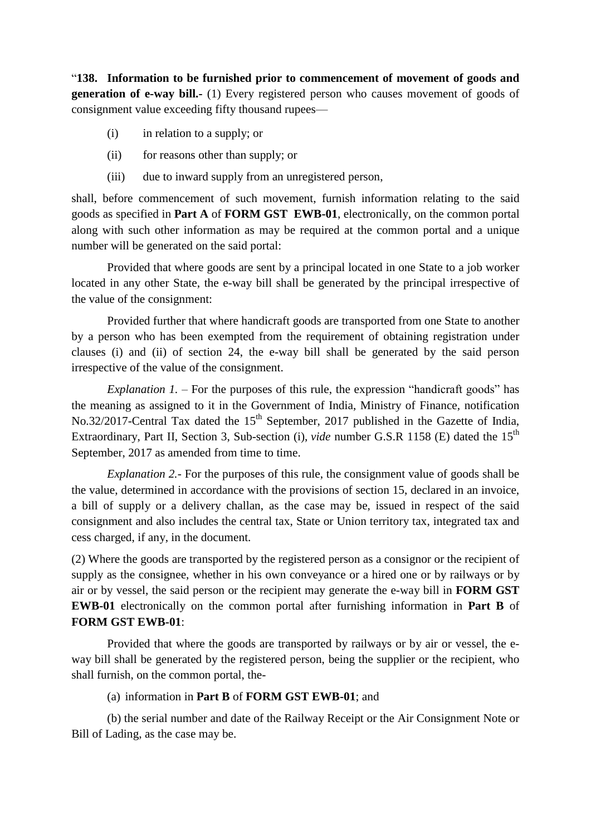"**138. Information to be furnished prior to commencement of movement of goods and generation of e-way bill.-** (1) Every registered person who causes movement of goods of consignment value exceeding fifty thousand rupees—

- (i) in relation to a supply; or
- (ii) for reasons other than supply; or
- (iii) due to inward supply from an unregistered person,

shall, before commencement of such movement, furnish information relating to the said goods as specified in **Part A** of **FORM GST EWB-01**, electronically, on the common portal along with such other information as may be required at the common portal and a unique number will be generated on the said portal:

Provided that where goods are sent by a principal located in one State to a job worker located in any other State, the e-way bill shall be generated by the principal irrespective of the value of the consignment:

Provided further that where handicraft goods are transported from one State to another by a person who has been exempted from the requirement of obtaining registration under clauses (i) and (ii) of section 24, the e-way bill shall be generated by the said person irrespective of the value of the consignment.

*Explanation 1.* – For the purposes of this rule, the expression "handicraft goods" has the meaning as assigned to it in the Government of India, Ministry of Finance, notification No.32/2017-Central Tax dated the 15<sup>th</sup> September, 2017 published in the Gazette of India, Extraordinary, Part II, Section 3, Sub-section (i), *vide* number G.S.R 1158 (E) dated the 15<sup>th</sup> September, 2017 as amended from time to time.

*Explanation 2.*- For the purposes of this rule, the consignment value of goods shall be the value, determined in accordance with the provisions of section 15, declared in an invoice, a bill of supply or a delivery challan, as the case may be, issued in respect of the said consignment and also includes the central tax, State or Union territory tax, integrated tax and cess charged, if any, in the document.

(2) Where the goods are transported by the registered person as a consignor or the recipient of supply as the consignee, whether in his own conveyance or a hired one or by railways or by air or by vessel, the said person or the recipient may generate the e-way bill in **FORM GST EWB-01** electronically on the common portal after furnishing information in **Part B** of **FORM GST EWB-01**:

Provided that where the goods are transported by railways or by air or vessel, the eway bill shall be generated by the registered person, being the supplier or the recipient, who shall furnish, on the common portal, the-

#### (a) information in **Part B** of **FORM GST EWB-01**; and

(b) the serial number and date of the Railway Receipt or the Air Consignment Note or Bill of Lading, as the case may be.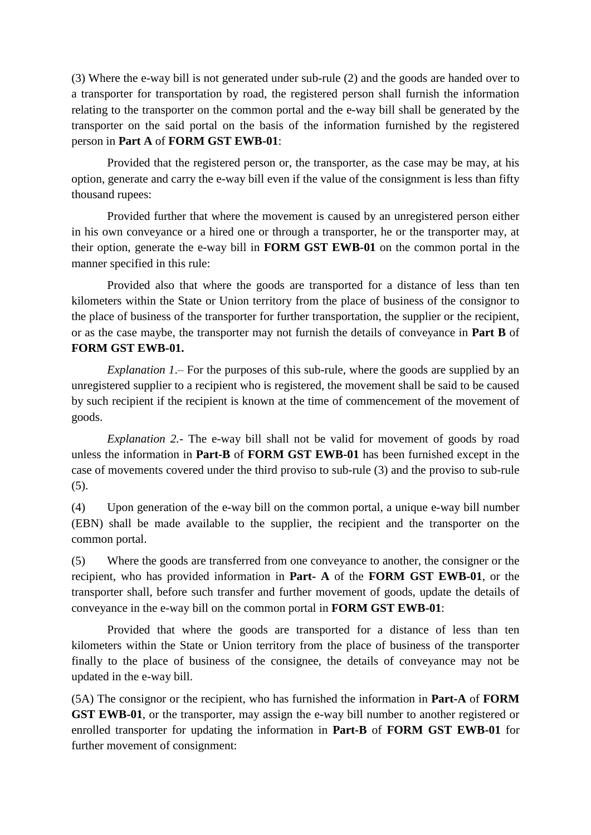(3) Where the e-way bill is not generated under sub-rule (2) and the goods are handed over to a transporter for transportation by road, the registered person shall furnish the information relating to the transporter on the common portal and the e-way bill shall be generated by the transporter on the said portal on the basis of the information furnished by the registered person in **Part A** of **FORM GST EWB-01**:

Provided that the registered person or, the transporter, as the case may be may, at his option, generate and carry the e-way bill even if the value of the consignment is less than fifty thousand rupees:

Provided further that where the movement is caused by an unregistered person either in his own conveyance or a hired one or through a transporter, he or the transporter may, at their option, generate the e-way bill in **FORM GST EWB-01** on the common portal in the manner specified in this rule:

Provided also that where the goods are transported for a distance of less than ten kilometers within the State or Union territory from the place of business of the consignor to the place of business of the transporter for further transportation, the supplier or the recipient, or as the case maybe, the transporter may not furnish the details of conveyance in **Part B** of **FORM GST EWB-01.**

*Explanation 1*.– For the purposes of this sub-rule, where the goods are supplied by an unregistered supplier to a recipient who is registered, the movement shall be said to be caused by such recipient if the recipient is known at the time of commencement of the movement of goods.

*Explanation 2.-* The e-way bill shall not be valid for movement of goods by road unless the information in **Part-B** of **FORM GST EWB-01** has been furnished except in the case of movements covered under the third proviso to sub-rule (3) and the proviso to sub-rule (5).

(4) Upon generation of the e-way bill on the common portal, a unique e-way bill number (EBN) shall be made available to the supplier, the recipient and the transporter on the common portal.

(5) Where the goods are transferred from one conveyance to another, the consigner or the recipient, who has provided information in **Part- A** of the **FORM GST EWB-01**, or the transporter shall, before such transfer and further movement of goods, update the details of conveyance in the e-way bill on the common portal in **FORM GST EWB-01**:

Provided that where the goods are transported for a distance of less than ten kilometers within the State or Union territory from the place of business of the transporter finally to the place of business of the consignee, the details of conveyance may not be updated in the e-way bill.

(5A) The consignor or the recipient, who has furnished the information in **Part-A** of **FORM GST EWB-01**, or the transporter, may assign the e-way bill number to another registered or enrolled transporter for updating the information in **Part-B** of **FORM GST EWB-01** for further movement of consignment: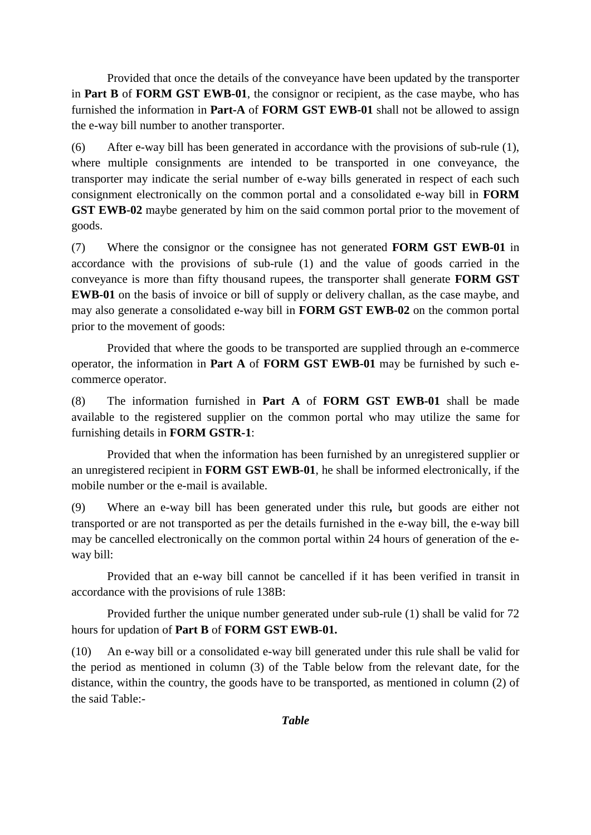Provided that once the details of the conveyance have been updated by the transporter in **Part B** of **FORM GST EWB-01**, the consignor or recipient, as the case maybe, who has furnished the information in **Part-A** of **FORM GST EWB-01** shall not be allowed to assign the e-way bill number to another transporter.

(6) After e-way bill has been generated in accordance with the provisions of sub-rule (1), where multiple consignments are intended to be transported in one conveyance, the transporter may indicate the serial number of e-way bills generated in respect of each such consignment electronically on the common portal and a consolidated e-way bill in **FORM GST EWB-02** maybe generated by him on the said common portal prior to the movement of goods.

(7) Where the consignor or the consignee has not generated **FORM GST EWB-01** in accordance with the provisions of sub-rule (1) and the value of goods carried in the conveyance is more than fifty thousand rupees, the transporter shall generate **FORM GST EWB-01** on the basis of invoice or bill of supply or delivery challan, as the case maybe, and may also generate a consolidated e-way bill in **FORM GST EWB-02** on the common portal prior to the movement of goods:

Provided that where the goods to be transported are supplied through an e-commerce operator, the information in **Part A** of **FORM GST EWB-01** may be furnished by such ecommerce operator.

(8) The information furnished in **Part A** of **FORM GST EWB-01** shall be made available to the registered supplier on the common portal who may utilize the same for furnishing details in **FORM GSTR-1**:

Provided that when the information has been furnished by an unregistered supplier or an unregistered recipient in **FORM GST EWB-01**, he shall be informed electronically, if the mobile number or the e-mail is available.

(9) Where an e-way bill has been generated under this rule*,* but goods are either not transported or are not transported as per the details furnished in the e-way bill, the e-way bill may be cancelled electronically on the common portal within 24 hours of generation of the eway bill:

Provided that an e-way bill cannot be cancelled if it has been verified in transit in accordance with the provisions of rule 138B:

Provided further the unique number generated under sub-rule (1) shall be valid for 72 hours for updation of **Part B** of **FORM GST EWB-01.**

(10) An e-way bill or a consolidated e-way bill generated under this rule shall be valid for the period as mentioned in column (3) of the Table below from the relevant date, for the distance, within the country, the goods have to be transported, as mentioned in column (2) of the said Table:-

*Table*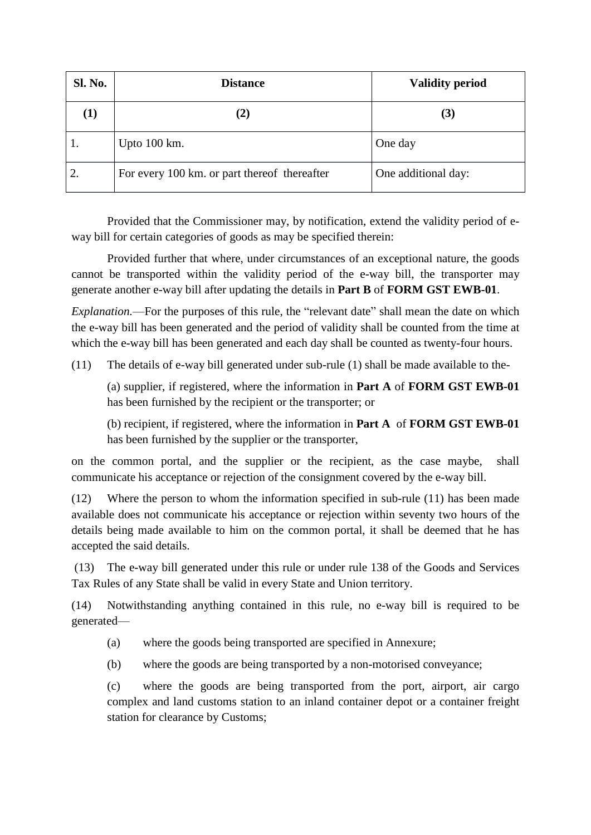| <b>Sl. No.</b> | <b>Distance</b>                              | <b>Validity period</b> |
|----------------|----------------------------------------------|------------------------|
| $\bf(1)$       | (2)                                          | (3)                    |
|                | Upto $100 \text{ km}$ .                      | One day                |
| 2.             | For every 100 km, or part thereof thereafter | One additional day:    |

Provided that the Commissioner may, by notification, extend the validity period of eway bill for certain categories of goods as may be specified therein:

Provided further that where, under circumstances of an exceptional nature, the goods cannot be transported within the validity period of the e-way bill, the transporter may generate another e-way bill after updating the details in **Part B** of **FORM GST EWB-01**.

*Explanation.*—For the purposes of this rule, the "relevant date" shall mean the date on which the e-way bill has been generated and the period of validity shall be counted from the time at which the e-way bill has been generated and each day shall be counted as twenty-four hours.

(11) The details of e-way bill generated under sub-rule (1) shall be made available to the-

(a) supplier, if registered, where the information in **Part A** of **FORM GST EWB-01** has been furnished by the recipient or the transporter; or

(b) recipient, if registered, where the information in **Part A** of **FORM GST EWB-01** has been furnished by the supplier or the transporter,

on the common portal, and the supplier or the recipient, as the case maybe, shall communicate his acceptance or rejection of the consignment covered by the e-way bill.

(12) Where the person to whom the information specified in sub-rule (11) has been made available does not communicate his acceptance or rejection within seventy two hours of the details being made available to him on the common portal, it shall be deemed that he has accepted the said details.

(13) The e-way bill generated under this rule or under rule 138 of the Goods and Services Tax Rules of any State shall be valid in every State and Union territory.

(14) Notwithstanding anything contained in this rule, no e-way bill is required to be generated—

- (a) where the goods being transported are specified in Annexure;
- (b) where the goods are being transported by a non-motorised conveyance;

(c) where the goods are being transported from the port, airport, air cargo complex and land customs station to an inland container depot or a container freight station for clearance by Customs;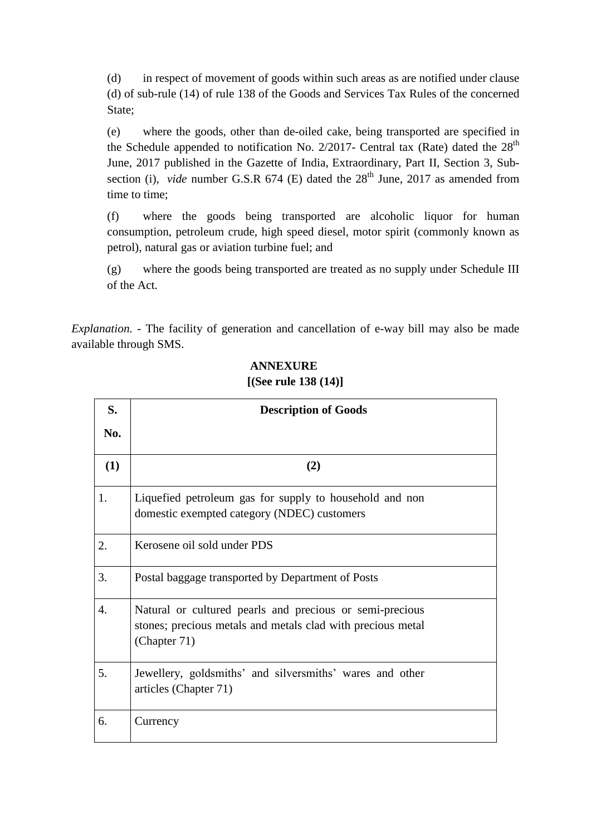(d) in respect of movement of goods within such areas as are notified under clause (d) of sub-rule (14) of rule 138 of the Goods and Services Tax Rules of the concerned State;

(e) where the goods, other than de-oiled cake, being transported are specified in the Schedule appended to notification No. 2/2017- Central tax (Rate) dated the  $28<sup>th</sup>$ June, 2017 published in the Gazette of India, Extraordinary, Part II, Section 3, Subsection (i), *vide* number G.S.R  $674$  (E) dated the  $28<sup>th</sup>$  June, 2017 as amended from time to time;

(f) where the goods being transported are alcoholic liquor for human consumption, petroleum crude, high speed diesel, motor spirit (commonly known as petrol), natural gas or aviation turbine fuel; and

(g) where the goods being transported are treated as no supply under Schedule III of the Act.

*Explanation.* - The facility of generation and cancellation of e-way bill may also be made available through SMS.

| S.  | <b>Description of Goods</b>                                                                                                             |  |  |  |  |  |  |  |  |
|-----|-----------------------------------------------------------------------------------------------------------------------------------------|--|--|--|--|--|--|--|--|
| No. |                                                                                                                                         |  |  |  |  |  |  |  |  |
| (1) | (2)                                                                                                                                     |  |  |  |  |  |  |  |  |
| 1.  | Liquefied petroleum gas for supply to household and non<br>domestic exempted category (NDEC) customers                                  |  |  |  |  |  |  |  |  |
| 2.  | Kerosene oil sold under PDS                                                                                                             |  |  |  |  |  |  |  |  |
| 3.  | Postal baggage transported by Department of Posts                                                                                       |  |  |  |  |  |  |  |  |
| 4.  | Natural or cultured pearls and precious or semi-precious<br>stones; precious metals and metals clad with precious metal<br>(Chapter 71) |  |  |  |  |  |  |  |  |
| 5.  | Jewellery, goldsmiths' and silversmiths' wares and other<br>articles (Chapter 71)                                                       |  |  |  |  |  |  |  |  |
| 6.  | Currency                                                                                                                                |  |  |  |  |  |  |  |  |

## **ANNEXURE [(See rule 138 (14)]**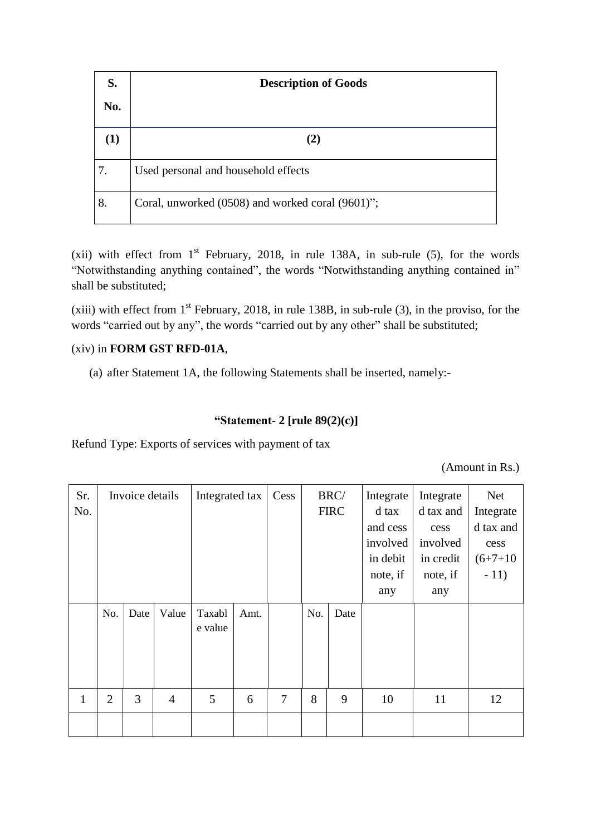| S.  | <b>Description of Goods</b>                      |
|-----|--------------------------------------------------|
| No. |                                                  |
| (1) | (2)                                              |
| 7.  | Used personal and household effects              |
| 8.  | Coral, unworked (0508) and worked coral (9601)"; |

(xii) with effect from  $1<sup>st</sup>$  February, 2018, in rule 138A, in sub-rule (5), for the words "Notwithstanding anything contained", the words "Notwithstanding anything contained in" shall be substituted;

(xiii) with effect from  $1<sup>st</sup>$  February, 2018, in rule 138B, in sub-rule (3), in the proviso, for the words "carried out by any", the words "carried out by any other" shall be substituted;

## (xiv) in **FORM GST RFD-01A**,

(a) after Statement 1A, the following Statements shall be inserted, namely:-

## **"Statement- 2 [rule 89(2)(c)]**

Refund Type: Exports of services with payment of tax

(Amount in Rs.)

| Sr.<br>No. | Invoice details |      | Integrated tax |                   | Cess |        | BRC/<br><b>FIRC</b> | Integrate<br>d tax<br>and cess<br>involved<br>in debit<br>note, if<br>any | Integrate<br>d tax and<br>cess<br>involved<br>in credit<br>note, if<br>any | <b>Net</b><br>Integrate<br>d tax and<br>cess<br>$(6+7+10)$<br>$-11)$ |    |
|------------|-----------------|------|----------------|-------------------|------|--------|---------------------|---------------------------------------------------------------------------|----------------------------------------------------------------------------|----------------------------------------------------------------------|----|
|            | No.             | Date | Value          | Taxabl<br>e value | Amt. |        | No.                 | Date                                                                      |                                                                            |                                                                      |    |
| 1          | $\overline{2}$  | 3    | $\overline{4}$ | 5                 | 6    | $\tau$ | 8                   | 9                                                                         | 10                                                                         | 11                                                                   | 12 |
|            |                 |      |                |                   |      |        |                     |                                                                           |                                                                            |                                                                      |    |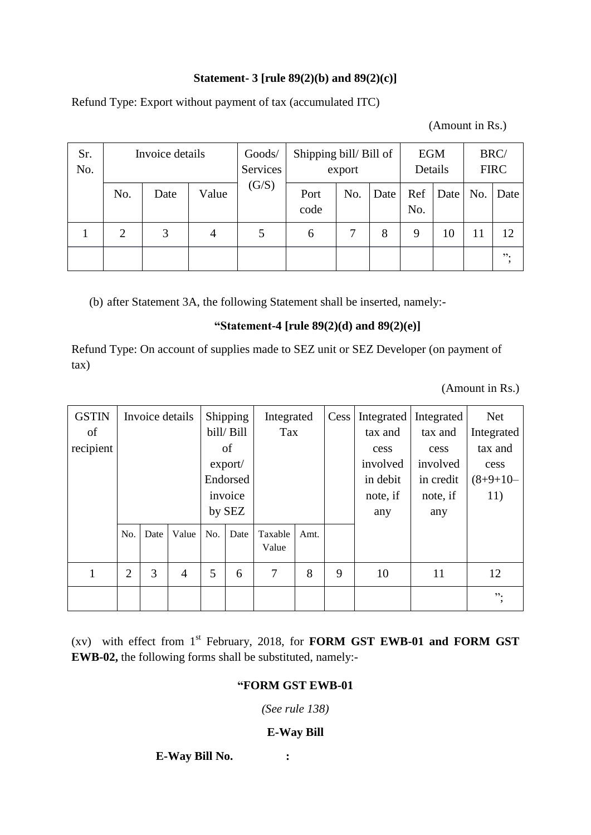## **Statement- 3 [rule 89(2)(b) and 89(2)(c)]**

Refund Type: Export without payment of tax (accumulated ITC)

(Amount in Rs.)

| Sr.<br>No. | Invoice details |      |       | Goods/<br>Services | Shipping bill/Bill of | export |      | <b>EGM</b><br>Details |      |     | BRC/<br><b>FIRC</b> |
|------------|-----------------|------|-------|--------------------|-----------------------|--------|------|-----------------------|------|-----|---------------------|
|            | No.             | Date | Value | (G/S)              | Port<br>code          | No.    | Date | Ref<br>No.            | Date | No. | Date                |
|            | 2               | 3    | 4     |                    | 6                     |        | 8    | 9                     | 10   | 11  | 12                  |
|            |                 |      |       |                    |                       |        |      |                       |      |     | , 2, 3              |

(b) after Statement 3A, the following Statement shall be inserted, namely:-

## **"Statement-4 [rule 89(2)(d) and 89(2)(e)]**

Refund Type: On account of supplies made to SEZ unit or SEZ Developer (on payment of tax)

(Amount in Rs.)

| <b>GSTIN</b><br>of |                | Invoice details |                | Shipping<br>bill/ Bill |          | Integrated<br>Tax |      |          | Cess   Integrated<br>tax and | Integrated<br>tax and | <b>Net</b><br>Integrated |
|--------------------|----------------|-----------------|----------------|------------------------|----------|-------------------|------|----------|------------------------------|-----------------------|--------------------------|
| recipient          |                |                 |                |                        | of       |                   |      | cess     | cess                         | tax and               |                          |
|                    |                |                 |                | $\text{export}/$       |          |                   |      | involved | involved                     | cess                  |                          |
|                    |                |                 |                |                        | Endorsed |                   |      |          | in debit                     | in credit             | $(8+9+10-$               |
|                    |                |                 |                |                        | invoice  |                   |      |          | note, if                     | note, if              | 11)                      |
|                    |                |                 |                |                        | by SEZ   |                   |      |          | any                          | any                   |                          |
|                    | No.            | Date            | Value          | No.                    | Date     | Taxable<br>Value  | Amt. |          |                              |                       |                          |
|                    | $\overline{2}$ | 3               | $\overline{4}$ | 5                      | 6        | 7                 | 8    | 9        | 10                           | 11                    | 12                       |
|                    |                |                 |                |                        |          |                   |      |          |                              |                       | $, \, \cdot$             |

(xv) with effect from 1 st February, 2018, for **FORM GST EWB-01 and FORM GST EWB-02,** the following forms shall be substituted, namely:-

## **"FORM GST EWB-01**

*(See rule 138)*

### **E-Way Bill**

**E-Way Bill No. :**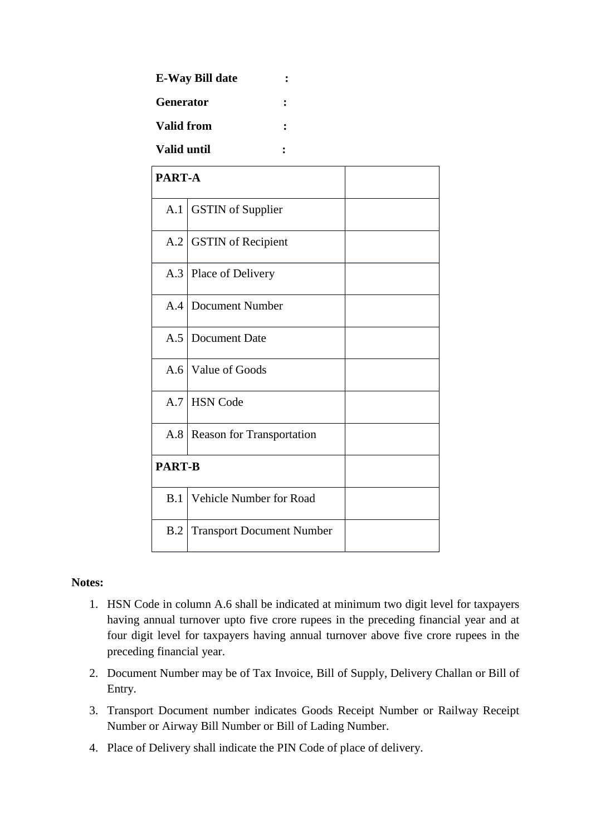| <b>E-Way Bill date</b> |  |
|------------------------|--|
| <b>Generator</b>       |  |
| <b>Valid from</b>      |  |
| <b>Valid until</b>     |  |

| PART-A        |                                  |  |
|---------------|----------------------------------|--|
| A.1           | <b>GSTIN</b> of Supplier         |  |
| A.2           | <b>GSTIN</b> of Recipient        |  |
| A.3           | Place of Delivery                |  |
|               | A.4 Document Number              |  |
| A.5           | Document Date                    |  |
|               | A.6   Value of Goods             |  |
|               | A.7 HSN Code                     |  |
| A.8           | <b>Reason for Transportation</b> |  |
| <b>PART-B</b> |                                  |  |
| B.1           | Vehicle Number for Road          |  |
| B.2           | <b>Transport Document Number</b> |  |

#### **Notes:**

- 1. HSN Code in column A.6 shall be indicated at minimum two digit level for taxpayers having annual turnover upto five crore rupees in the preceding financial year and at four digit level for taxpayers having annual turnover above five crore rupees in the preceding financial year.
- 2. Document Number may be of Tax Invoice, Bill of Supply, Delivery Challan or Bill of Entry.
- 3. Transport Document number indicates Goods Receipt Number or Railway Receipt Number or Airway Bill Number or Bill of Lading Number.
- 4. Place of Delivery shall indicate the PIN Code of place of delivery.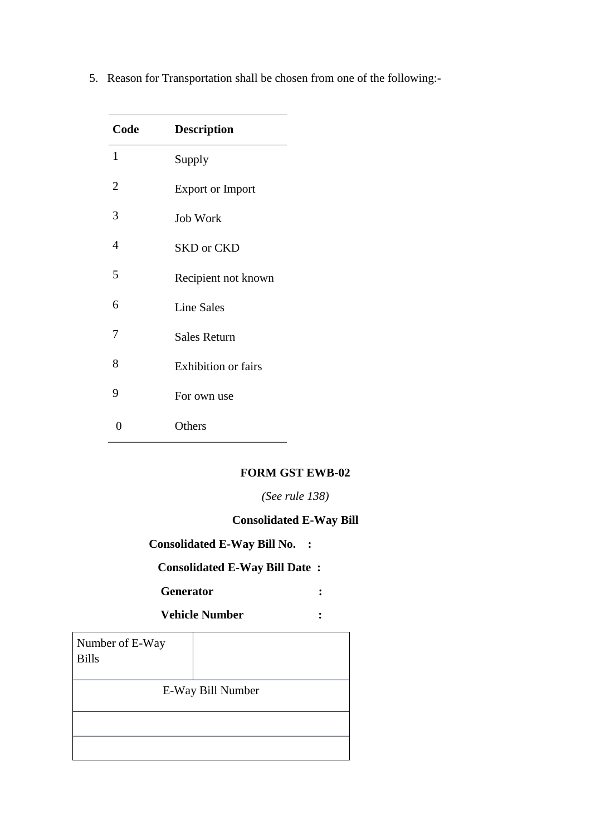| Code           | <b>Description</b>         |
|----------------|----------------------------|
| 1              | Supply                     |
| $\overline{2}$ | <b>Export or Import</b>    |
| 3              | <b>Job Work</b>            |
| 4              | <b>SKD</b> or CKD          |
| 5              | Recipient not known        |
| 6              | <b>Line Sales</b>          |
| 7              | <b>Sales Return</b>        |
| 8              | <b>Exhibition or fairs</b> |
| 9              | For own use                |
| 0              | Others                     |

5. Reason for Transportation shall be chosen from one of the following:-

## **FORM GST EWB-02**

*(See rule 138)*

## **Consolidated E-Way Bill**

# **Consolidated E-Way Bill No. :**

## **Consolidated E-Way Bill Date :**

 **Generator :**

 **Vehicle Number :**

| Number of E-Way<br><b>Bills</b> |                   |
|---------------------------------|-------------------|
|                                 | E-Way Bill Number |
|                                 |                   |
|                                 |                   |